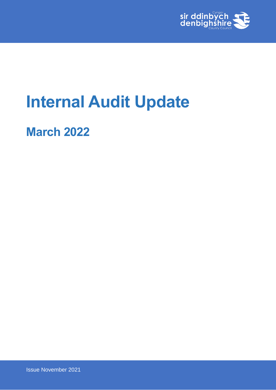

# **Internal Audit Update**

**March 2022**

Issue November 2021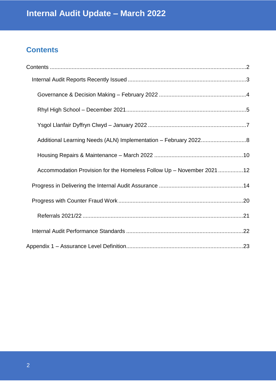# <span id="page-1-0"></span>**Contents**

| Accommodation Provision for the Homeless Follow Up - November 2021 12 |  |
|-----------------------------------------------------------------------|--|
|                                                                       |  |
|                                                                       |  |
|                                                                       |  |
|                                                                       |  |
|                                                                       |  |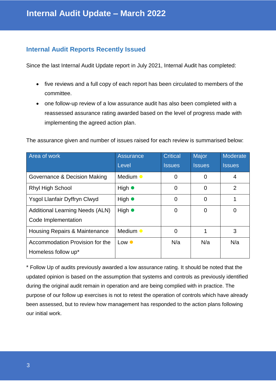#### <span id="page-2-0"></span>**Internal Audit Reports Recently Issued**

Since the last Internal Audit Update report in July 2021, Internal Audit has completed:

- five reviews and a full copy of each report has been circulated to members of the committee.
- one follow-up review of a low assurance audit has also been completed with a reassessed assurance rating awarded based on the level of progress made with implementing the agreed action plan.

| The assurance given and number of issues raised for each review is summarised below: |  |  |  |  |
|--------------------------------------------------------------------------------------|--|--|--|--|
|--------------------------------------------------------------------------------------|--|--|--|--|

| Area of work                           | <b>Assurance</b> | <b>Critical</b> | Major         | Moderate       |
|----------------------------------------|------------------|-----------------|---------------|----------------|
|                                        | Level            | <b>Issues</b>   | <b>Issues</b> | <b>Issues</b>  |
| Governance & Decision Making           | Medium •         | 0               | 0             | 4              |
| <b>Rhyl High School</b>                | High $\bullet$   | 0               | 0             | $\overline{2}$ |
| Ysgol Llanfair Dyffryn Clwyd           | High $\bullet$   | 0               | 0             |                |
| <b>Additional Learning Needs (ALN)</b> | High $\bullet$   | 0               | 0             | 0              |
| Code Implementation                    |                  |                 |               |                |
| Housing Repairs & Maintenance          | Medium •         | 0               | 1             | 3              |
| Accommodation Provision for the        | Low $\bullet$    | N/a             | N/a           | N/a            |
| Homeless follow up*                    |                  |                 |               |                |

\* Follow Up of audits previously awarded a low assurance rating. It should be noted that the updated opinion is based on the assumption that systems and controls as previously identified during the original audit remain in operation and are being complied with in practice. The purpose of our follow up exercises is not to retest the operation of controls which have already been assessed, but to review how management has responded to the action plans following our initial work.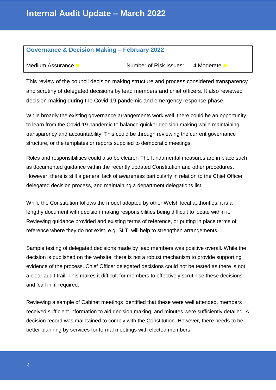#### <span id="page-3-0"></span>**Governance & Decision Making – February 2022**

Medium Assurance  $\bullet$  Number of Risk Issues: 4 Moderate  $\bullet$ 

This review of the council decision making structure and process considered transparency and scrutiny of delegated decisions by lead members and chief officers. It also reviewed decision making during the Covid-19 pandemic and emergency response phase.

While broadly the existing governance arrangements work well, there could be an opportunity to learn from the Covid-19 pandemic to balance quicker decision making while maintaining transparency and accountability. This could be through reviewing the current governance structure, or the templates or reports supplied to democratic meetings.

Roles and responsibilities could also be clearer. The fundamental measures are in place such as documented guidance within the recently updated Constitution and other procedures. However, there is still a general lack of awareness particularly in relation to the Chief Officer delegated decision process, and maintaining a department delegations list.

While the Constitution follows the model adopted by other Welsh local authorities, it is a lengthy document with decision making responsibilities being difficult to locate within it. Reviewing guidance provided and existing terms of reference, or putting in place terms of reference where they do not exist, e.g. SLT, will help to strengthen arrangements.

Sample testing of delegated decisions made by lead members was positive overall. While the decision is published on the website, there is not a robust mechanism to provide supporting evidence of the process. Chief Officer delegated decisions could not be tested as there is not a clear audit trail. This makes it difficult for members to effectively scrutinise these decisions and 'call in' if required.

Reviewing a sample of Cabinet meetings identified that these were well attended, members received sufficient information to aid decision making, and minutes were sufficiently detailed. A decision record was maintained to comply with the Constitution. However, there needs to be better planning by services for formal meetings with elected members.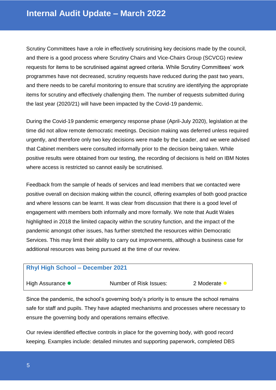Scrutiny Committees have a role in effectively scrutinising key decisions made by the council, and there is a good process where Scrutiny Chairs and Vice-Chairs Group (SCVCG) review requests for items to be scrutinised against agreed criteria. While Scrutiny Committees' work programmes have not decreased, scrutiny requests have reduced during the past two years, and there needs to be careful monitoring to ensure that scrutiny are identifying the appropriate items for scrutiny and effectively challenging them. The number of requests submitted during the last year (2020/21) will have been impacted by the Covid-19 pandemic.

During the Covid-19 pandemic emergency response phase (April-July 2020), legislation at the time did not allow remote democratic meetings. Decision making was deferred unless required urgently, and therefore only two key decisions were made by the Leader, and we were advised that Cabinet members were consulted informally prior to the decision being taken. While positive results were obtained from our testing, the recording of decisions is held on IBM Notes where access is restricted so cannot easily be scrutinised.

Feedback from the sample of heads of services and lead members that we contacted were positive overall on decision making within the council, offering examples of both good practice and where lessons can be learnt. It was clear from discussion that there is a good level of engagement with members both informally and more formally. We note that Audit Wales highlighted in 2018 the limited capacity within the scrutiny function, and the impact of the pandemic amongst other issues, has further stretched the resources within Democratic Services. This may limit their ability to carry out improvements, although a business case for additional resources was being pursued at the time of our review.

#### <span id="page-4-0"></span>**Rhyl High School – December 2021**

| Number of Risk Issues:<br>High Assurance •<br>2 Moderate |  |
|----------------------------------------------------------|--|
|----------------------------------------------------------|--|

Since the pandemic, the school's governing body's priority is to ensure the school remains safe for staff and pupils. They have adapted mechanisms and processes where necessary to ensure the governing body and operations remains effective.

Our review identified effective controls in place for the governing body, with good record keeping. Examples include: detailed minutes and supporting paperwork, completed DBS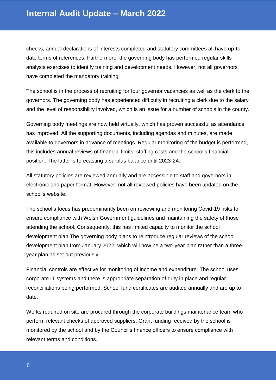checks, annual declarations of interests completed and statutory committees all have up-todate terms of references. Furthermore, the governing body has performed regular skills analysis exercises to identify training and development needs. However, not all governors have completed the mandatory training.

The school is in the process of recruiting for four governor vacancies as well as the clerk to the governors. The governing body has experienced difficulty in recruiting a clerk due to the salary and the level of responsibility involved, which is an issue for a number of schools in the county.

Governing body meetings are now held virtually, which has proven successful as attendance has improved. All the supporting documents, including agendas and minutes, are made available to governors in advance of meetings. Regular monitoring of the budget is performed, this includes annual reviews of financial limits, staffing costs and the school's financial position. The latter is forecasting a surplus balance until 2023-24.

All statutory policies are reviewed annually and are accessible to staff and governors in electronic and paper format. However, not all reviewed policies have been updated on the school's website.

The school's focus has predominantly been on reviewing and monitoring Covid-19 risks to ensure compliance with Welsh Government guidelines and maintaining the safety of those attending the school. Consequently, this has limited capacity to monitor the school development plan The governing body plans to reintroduce regular reviews of the school development plan from January 2022, which will now be a two-year plan rather than a threeyear plan as set out previously.

Financial controls are effective for monitoring of income and expenditure. The school uses corporate IT systems and there is appropriate separation of duty in place and regular reconciliations being performed. School fund certificates are audited annually and are up to date.

Works required on site are procured through the corporate buildings maintenance team who perform relevant checks of approved suppliers. Grant funding received by the school is monitored by the school and by the Council's finance officers to ensure compliance with relevant terms and conditions.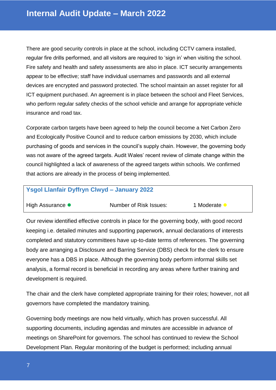There are good security controls in place at the school, including CCTV camera installed, regular fire drills performed, and all visitors are required to 'sign in' when visiting the school. Fire safety and health and safety assessments are also in place. ICT security arrangements appear to be effective; staff have individual usernames and passwords and all external devices are encrypted and password protected. The school maintain an asset register for all ICT equipment purchased. An agreement is in place between the school and Fleet Services, who perform regular safety checks of the school vehicle and arrange for appropriate vehicle insurance and road tax.

Corporate carbon targets have been agreed to help the council become a Net Carbon Zero and Ecologically Positive Council and to reduce carbon emissions by 2030, which include purchasing of goods and services in the council's supply chain. However, the governing body was not aware of the agreed targets. Audit Wales' recent review of climate change within the council highlighted a lack of awareness of the agreed targets within schools. We confirmed that actions are already in the process of being implemented.

#### <span id="page-6-0"></span>**Ysgol Llanfair Dyffryn Clwyd – January 2022**

| High Assurance • | Number of Risk Issues: | 1 Moderate |
|------------------|------------------------|------------|
|------------------|------------------------|------------|

Our review identified effective controls in place for the governing body, with good record keeping i.e. detailed minutes and supporting paperwork, annual declarations of interests completed and statutory committees have up-to-date terms of references. The governing body are arranging a Disclosure and Barring Service (DBS) check for the clerk to ensure everyone has a DBS in place. Although the governing body perform informal skills set analysis, a formal record is beneficial in recording any areas where further training and development is required.

The chair and the clerk have completed appropriate training for their roles; however, not all governors have completed the mandatory training.

Governing body meetings are now held virtually, which has proven successful. All supporting documents, including agendas and minutes are accessible in advance of meetings on SharePoint for governors. The school has continued to review the School Development Plan. Regular monitoring of the budget is performed; including annual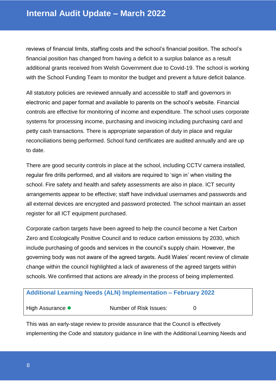reviews of financial limits, staffing costs and the school's financial position. The school's financial position has changed from having a deficit to a surplus balance as a result additional grants received from Welsh Government due to Covid-19. The school is working with the School Funding Team to monitor the budget and prevent a future deficit balance.

All statutory policies are reviewed annually and accessible to staff and governors in electronic and paper format and available to parents on the school's website. Financial controls are effective for monitoring of income and expenditure. The school uses corporate systems for processing income, purchasing and invoicing including purchasing card and petty cash transactions. There is appropriate separation of duty in place and regular reconciliations being performed. School fund certificates are audited annually and are up to date.

There are good security controls in place at the school, including CCTV camera installed, regular fire drills performed, and all visitors are required to 'sign in' when visiting the school. Fire safety and health and safety assessments are also in place. ICT security arrangements appear to be effective; staff have individual usernames and passwords and all external devices are encrypted and password protected. The school maintain an asset register for all ICT equipment purchased.

Corporate carbon targets have been agreed to help the council become a Net Carbon Zero and Ecologically Positive Council and to reduce carbon emissions by 2030, which include purchasing of goods and services in the council's supply chain. However, the governing body was not aware of the agreed targets. Audit Wales' recent review of climate change within the council highlighted a lack of awareness of the agreed targets within schools. We confirmed that actions are already in the process of being implemented.

#### <span id="page-7-0"></span>**Additional Learning Needs (ALN) Implementation – February 2022**

High Assurance  $\bullet$  Number of Risk Issues: 0

This was an early-stage review to provide assurance that the Council is effectively implementing the Code and statutory guidance in line with the Additional Learning Needs and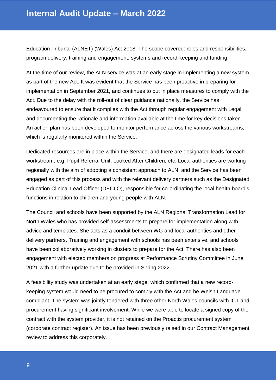Education Tribunal (ALNET) (Wales) Act 2018. The scope covered: roles and responsibilities, program delivery, training and engagement, systems and record-keeping and funding.

At the time of our review, the ALN service was at an early stage in implementing a new system as part of the new Act. It was evident that the Service has been proactive in preparing for implementation in September 2021, and continues to put in place measures to comply with the Act. Due to the delay with the roll-out of clear guidance nationally, the Service has endeavoured to ensure that it complies with the Act through regular engagement with Legal and documenting the rationale and information available at the time for key decisions taken. An action plan has been developed to monitor performance across the various workstreams, which is regularly monitored within the Service.

Dedicated resources are in place within the Service, and there are designated leads for each workstream, e.g. Pupil Referral Unit, Looked After Children, etc. Local authorities are working regionally with the aim of adopting a consistent approach to ALN, and the Service has been engaged as part of this process and with the relevant delivery partners such as the Designated Education Clinical Lead Officer (DECLO), responsible for co-ordinating the local health board's functions in relation to children and young people with ALN.

The Council and schools have been supported by the ALN Regional Transformation Lead for North Wales who has provided self-assessments to prepare for implementation along with advice and templates. She acts as a conduit between WG and local authorities and other delivery partners. Training and engagement with schools has been extensive, and schools have been collaboratively working in clusters to prepare for the Act. There has also been engagement with elected members on progress at Performance Scrutiny Committee in June 2021 with a further update due to be provided in Spring 2022.

A feasibility study was undertaken at an early stage, which confirmed that a new recordkeeping system would need to be procured to comply with the Act and be Welsh Language compliant. The system was jointly tendered with three other North Wales councils with ICT and procurement having significant involvement. While we were able to locate a signed copy of the contract with the system provider, it is not retained on the Proactis procurement system (corporate contract register). An issue has been previously raised in our Contract Management review to address this corporately.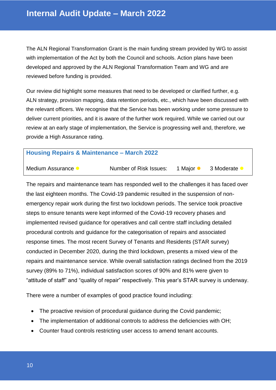The ALN Regional Transformation Grant is the main funding stream provided by WG to assist with implementation of the Act by both the Council and schools. Action plans have been developed and approved by the ALN Regional Transformation Team and WG and are reviewed before funding is provided.

Our review did highlight some measures that need to be developed or clarified further, e.g. ALN strategy, provision mapping, data retention periods, etc., which have been discussed with the relevant officers. We recognise that the Service has been working under some pressure to deliver current priorities, and it is aware of the further work required. While we carried out our review at an early stage of implementation, the Service is progressing well and, therefore, we provide a High Assurance rating.

<span id="page-9-0"></span>

| <b>Housing Repairs &amp; Maintenance - March 2022</b> |                        |           |            |  |  |  |
|-------------------------------------------------------|------------------------|-----------|------------|--|--|--|
| Medium Assurance                                      | Number of Risk Issues: | 1 Maior ● | 3 Moderate |  |  |  |

The repairs and maintenance team has responded well to the challenges it has faced over the last eighteen months. The Covid-19 pandemic resulted in the suspension of nonemergency repair work during the first two lockdown periods. The service took proactive steps to ensure tenants were kept informed of the Covid-19 recovery phases and implemented revised guidance for operatives and call centre staff including detailed procedural controls and guidance for the categorisation of repairs and associated response times. The most recent Survey of Tenants and Residents (STAR survey) conducted in December 2020, during the third lockdown, presents a mixed view of the repairs and maintenance service. While overall satisfaction ratings declined from the 2019 survey (89% to 71%), individual satisfaction scores of 90% and 81% were given to "attitude of staff" and "quality of repair" respectively. This year's STAR survey is underway.

There were a number of examples of good practice found including:

- The proactive revision of procedural guidance during the Covid pandemic;
- The implementation of additional controls to address the deficiencies with OH;
- Counter fraud controls restricting user access to amend tenant accounts.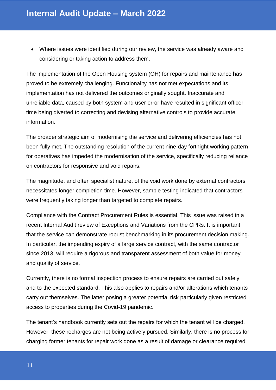Where issues were identified during our review, the service was already aware and considering or taking action to address them.

The implementation of the Open Housing system (OH) for repairs and maintenance has proved to be extremely challenging. Functionality has not met expectations and its implementation has not delivered the outcomes originally sought. Inaccurate and unreliable data, caused by both system and user error have resulted in significant officer time being diverted to correcting and devising alternative controls to provide accurate information.

The broader strategic aim of modernising the service and delivering efficiencies has not been fully met. The outstanding resolution of the current nine-day fortnight working pattern for operatives has impeded the modernisation of the service, specifically reducing reliance on contractors for responsive and void repairs.

The magnitude, and often specialist nature, of the void work done by external contractors necessitates longer completion time. However, sample testing indicated that contractors were frequently taking longer than targeted to complete repairs.

Compliance with the Contract Procurement Rules is essential. This issue was raised in a recent Internal Audit review of Exceptions and Variations from the CPRs. It is important that the service can demonstrate robust benchmarking in its procurement decision making. In particular, the impending expiry of a large service contract, with the same contractor since 2013, will require a rigorous and transparent assessment of both value for money and quality of service.

Currently, there is no formal inspection process to ensure repairs are carried out safely and to the expected standard. This also applies to repairs and/or alterations which tenants carry out themselves. The latter posing a greater potential risk particularly given restricted access to properties during the Covid-19 pandemic.

The tenant's handbook currently sets out the repairs for which the tenant will be charged. However, these recharges are not being actively pursued. Similarly, there is no process for charging former tenants for repair work done as a result of damage or clearance required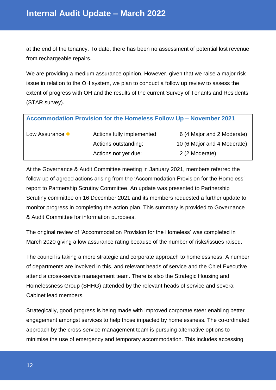at the end of the tenancy. To date, there has been no assessment of potential lost revenue from rechargeable repairs.

We are providing a medium assurance opinion. However, given that we raise a major risk issue in relation to the OH system, we plan to conduct a follow up review to assess the extent of progress with OH and the results of the current Survey of Tenants and Residents (STAR survey).

<span id="page-11-0"></span>

| Accommodation Provision for the Homeless Follow Up - November 2021 |                            |                             |  |  |  |  |
|--------------------------------------------------------------------|----------------------------|-----------------------------|--|--|--|--|
| Low Assurance •                                                    | Actions fully implemented: | 6 (4 Major and 2 Moderate)  |  |  |  |  |
|                                                                    | Actions outstanding:       | 10 (6 Major and 4 Moderate) |  |  |  |  |
|                                                                    | Actions not yet due:       | 2 (2 Moderate)              |  |  |  |  |

At the Governance & Audit Committee meeting in January 2021, members referred the follow-up of agreed actions arising from the 'Accommodation Provision for the Homeless' report to Partnership Scrutiny Committee. An update was presented to Partnership Scrutiny committee on 16 December 2021 and its members requested a further update to monitor progress in completing the action plan. This summary is provided to Governance & Audit Committee for information purposes.

The original review of 'Accommodation Provision for the Homeless' was completed in March 2020 giving a low assurance rating because of the number of risks/issues raised.

The council is taking a more strategic and corporate approach to homelessness. A number of departments are involved in this, and relevant heads of service and the Chief Executive attend a cross-service management team. There is also the Strategic Housing and Homelessness Group (SHHG) attended by the relevant heads of service and several Cabinet lead members.

Strategically, good progress is being made with improved corporate steer enabling better engagement amongst services to help those impacted by homelessness. The co-ordinated approach by the cross-service management team is pursuing alternative options to minimise the use of emergency and temporary accommodation. This includes accessing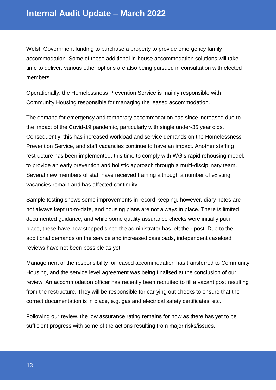Welsh Government funding to purchase a property to provide emergency family accommodation. Some of these additional in-house accommodation solutions will take time to deliver, various other options are also being pursued in consultation with elected members.

Operationally, the Homelessness Prevention Service is mainly responsible with Community Housing responsible for managing the leased accommodation.

The demand for emergency and temporary accommodation has since increased due to the impact of the Covid-19 pandemic, particularly with single under-35 year olds. Consequently, this has increased workload and service demands on the Homelessness Prevention Service, and staff vacancies continue to have an impact. Another staffing restructure has been implemented, this time to comply with WG's rapid rehousing model, to provide an early prevention and holistic approach through a multi-disciplinary team. Several new members of staff have received training although a number of existing vacancies remain and has affected continuity.

Sample testing shows some improvements in record-keeping, however, diary notes are not always kept up-to-date, and housing plans are not always in place. There is limited documented guidance, and while some quality assurance checks were initially put in place, these have now stopped since the administrator has left their post. Due to the additional demands on the service and increased caseloads, independent caseload reviews have not been possible as yet.

Management of the responsibility for leased accommodation has transferred to Community Housing, and the service level agreement was being finalised at the conclusion of our review. An accommodation officer has recently been recruited to fill a vacant post resulting from the restructure. They will be responsible for carrying out checks to ensure that the correct documentation is in place, e.g. gas and electrical safety certificates, etc.

Following our review, the low assurance rating remains for now as there has yet to be sufficient progress with some of the actions resulting from major risks/issues.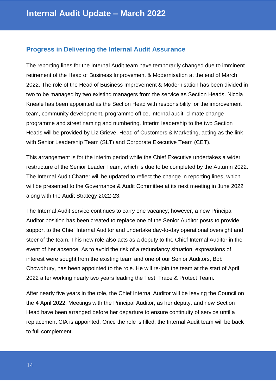#### <span id="page-13-0"></span>**Progress in Delivering the Internal Audit Assurance**

The reporting lines for the Internal Audit team have temporarily changed due to imminent retirement of the Head of Business Improvement & Modernisation at the end of March 2022. The role of the Head of Business Improvement & Modernisation has been divided in two to be managed by two existing managers from the service as Section Heads. Nicola Kneale has been appointed as the Section Head with responsibility for the improvement team, community development, programme office, internal audit, climate change programme and street naming and numbering. Interim leadership to the two Section Heads will be provided by Liz Grieve, Head of Customers & Marketing, acting as the link with Senior Leadership Team (SLT) and Corporate Executive Team (CET).

This arrangement is for the interim period while the Chief Executive undertakes a wider restructure of the Senior Leader Team, which is due to be completed by the Autumn 2022. The Internal Audit Charter will be updated to reflect the change in reporting lines, which will be presented to the Governance & Audit Committee at its next meeting in June 2022 along with the Audit Strategy 2022-23.

The Internal Audit service continues to carry one vacancy; however, a new Principal Auditor position has been created to replace one of the Senior Auditor posts to provide support to the Chief Internal Auditor and undertake day-to-day operational oversight and steer of the team. This new role also acts as a deputy to the Chief Internal Auditor in the event of her absence. As to avoid the risk of a redundancy situation, expressions of interest were sought from the existing team and one of our Senior Auditors, Bob Chowdhury, has been appointed to the role. He will re-join the team at the start of April 2022 after working nearly two years leading the Test, Trace & Protect Team.

After nearly five years in the role, the Chief Internal Auditor will be leaving the Council on the 4 April 2022. Meetings with the Principal Auditor, as her deputy, and new Section Head have been arranged before her departure to ensure continuity of service until a replacement CIA is appointed. Once the role is filled, the Internal Audit team will be back to full complement.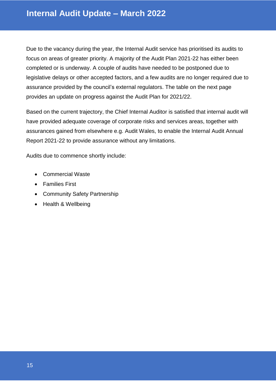Due to the vacancy during the year, the Internal Audit service has prioritised its audits to focus on areas of greater priority. A majority of the Audit Plan 2021-22 has either been completed or is underway. A couple of audits have needed to be postponed due to legislative delays or other accepted factors, and a few audits are no longer required due to assurance provided by the council's external regulators. The table on the next page provides an update on progress against the Audit Plan for 2021/22.

Based on the current trajectory, the Chief Internal Auditor is satisfied that internal audit will have provided adequate coverage of corporate risks and services areas, together with assurances gained from elsewhere e.g. Audit Wales, to enable the Internal Audit Annual Report 2021-22 to provide assurance without any limitations.

Audits due to commence shortly include:

- Commercial Waste
- Families First
- Community Safety Partnership
- Health & Wellbeing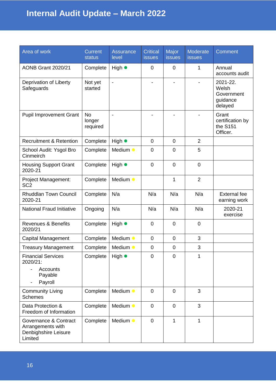| Area of work                                                                  | <b>Current</b><br><b>status</b> | Assurance<br>level       | <b>Critical</b><br><b>issues</b> | Major<br><b>issues</b>   | Moderate<br><b>issues</b> | <b>Comment</b>                                         |
|-------------------------------------------------------------------------------|---------------------------------|--------------------------|----------------------------------|--------------------------|---------------------------|--------------------------------------------------------|
| <b>AONB Grant 2020/21</b>                                                     | Complete                        | High $\bullet$           | $\mathbf 0$                      | $\mathbf 0$              | 1                         | Annual<br>accounts audit                               |
| Deprivation of Liberty<br>Safeguards                                          | Not yet<br>started              | $\overline{\phantom{a}}$ |                                  | $\overline{\phantom{0}}$ |                           | 2021-22.<br>Welsh<br>Government<br>guidance<br>delayed |
| <b>Pupil Improvement Grant</b>                                                | <b>No</b><br>longer<br>required | $\blacksquare$           |                                  |                          |                           | Grant<br>certification by<br>the S151<br>Officer.      |
| <b>Recruitment &amp; Retention</b>                                            | Complete                        | High $\bullet$           | $\overline{0}$                   | $\mathbf 0$              | $\overline{2}$            |                                                        |
| School Audit: Ysgol Bro<br>Cinmeirch                                          | Complete                        | Medium •                 | $\mathbf 0$                      | $\overline{0}$           | 5                         |                                                        |
| <b>Housing Support Grant</b><br>2020-21                                       | Complete                        | High $\bullet$           | $\overline{0}$                   | $\overline{0}$           | $\overline{0}$            |                                                        |
| Project Management:<br>SC <sub>2</sub>                                        | Complete                        | Medium •                 |                                  | 1                        | $\overline{2}$            |                                                        |
| <b>Rhuddlan Town Council</b><br>2020-21                                       | Complete                        | N/a                      | N/a                              | N/a                      | N/a                       | <b>External fee</b><br>earning work                    |
| <b>National Fraud Initiative</b>                                              | Ongoing                         | N/a                      | N/a                              | N/a                      | N/a                       | 2020-21<br>exercise                                    |
| <b>Revenues &amp; Benefits</b><br>2020/21                                     | Complete                        | High $\bullet$           | $\mathbf 0$                      | $\overline{0}$           | $\mathbf 0$               |                                                        |
| <b>Capital Management</b>                                                     | Complete                        | Medium •                 | $\mathbf 0$                      | $\mathbf 0$              | 3                         |                                                        |
| <b>Treasury Management</b>                                                    | Complete                        | Medium •                 | $\mathbf 0$                      | $\mathbf 0$              | 3                         |                                                        |
| <b>Financial Services</b><br>2020/21:<br>Accounts<br>Payable<br>Payroll       | Complete                        | High $\bullet$           | 0                                | $\mathbf 0$              | 1                         |                                                        |
| <b>Community Living</b><br><b>Schemes</b>                                     | Complete                        | Medium •                 | $\overline{0}$                   | $\mathbf 0$              | 3                         |                                                        |
| Data Protection &<br>Freedom of Information                                   | Complete                        | Medium •                 | $\mathbf 0$                      | $\mathbf 0$              | 3                         |                                                        |
| Governance & Contract<br>Arrangements with<br>Denbighshire Leisure<br>Limited | Complete                        | Medium •                 | $\mathbf 0$                      | 1                        | 1                         |                                                        |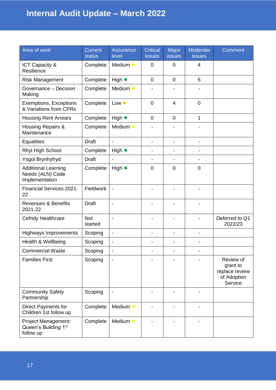| Area of work                                                     | <b>Current</b><br><b>status</b> | <b>Assurance</b><br>level    | <b>Critical</b><br><b>issues</b> | Major<br><b>issues</b>       | <b>Moderate</b><br><b>issues</b> | <b>Comment</b>                                                    |
|------------------------------------------------------------------|---------------------------------|------------------------------|----------------------------------|------------------------------|----------------------------------|-------------------------------------------------------------------|
| ICT Capacity &<br>Resilience                                     | Complete                        | Medium •                     | $\mathbf 0$                      | $\mathbf 0$                  | 4                                |                                                                   |
| <b>Risk Management</b>                                           | Complete                        | High $\bullet$               | $\overline{0}$                   | $\mathbf 0$                  | 5                                |                                                                   |
| Governance - Decision<br>Making                                  | Complete                        | Medium •                     |                                  |                              |                                  |                                                                   |
| <b>Exemptions, Exceptions</b><br>& Variations from CPRs          | Complete                        | Low $\bullet$                | $\mathbf 0$                      | $\overline{4}$               | $\mathbf 0$                      |                                                                   |
| <b>Housing Rent Arrears</b>                                      | Complete                        | High $\bullet$               | $\mathbf 0$                      | $\mathbf 0$                  | 1                                |                                                                   |
| Housing Repairs &<br>Maintenance                                 | Complete                        | Medium •                     |                                  |                              |                                  |                                                                   |
| <b>Equalities</b>                                                | <b>Draft</b>                    | $\overline{a}$               | $\overline{\phantom{a}}$         | $\overline{\phantom{0}}$     | $\overline{\phantom{a}}$         |                                                                   |
| Rhyl High School                                                 | Complete                        | High $\bullet$               | $\overline{\phantom{0}}$         |                              |                                  |                                                                   |
| Ysgol Brynhyfryd                                                 | <b>Draft</b>                    | $\overline{\phantom{a}}$     | $\overline{\phantom{a}}$         | $\blacksquare$               | $\blacksquare$                   |                                                                   |
| <b>Additional Learning</b><br>Needs (ALN) Code<br>Implementation | Complete                        | High $\bullet$               | $\mathbf 0$                      | $\mathbf 0$                  | $\mathbf 0$                      |                                                                   |
| <b>Financial Services 2021-</b><br>22                            | Fieldwork                       | $\overline{a}$               |                                  |                              |                                  |                                                                   |
| <b>Revenues &amp; Benefits</b><br>2021-22                        | <b>Draft</b>                    | $\blacksquare$               |                                  |                              |                                  |                                                                   |
| Cefndy Healthcare                                                | <b>Not</b><br>started           | $\blacksquare$               |                                  |                              |                                  | Deferred to Q1<br>2022/23                                         |
| <b>Highways Improvements</b>                                     | Scoping                         | $\overline{\phantom{a}}$     | -                                | $\qquad \qquad \blacksquare$ | $\overline{\phantom{a}}$         |                                                                   |
| Health & Wellbeing                                               | Scoping                         | $\overline{a}$               | $\overline{\phantom{a}}$         | $\qquad \qquad \blacksquare$ |                                  |                                                                   |
| <b>Commercial Waste</b>                                          | Scoping                         | $\qquad \qquad \blacksquare$ |                                  |                              |                                  |                                                                   |
| <b>Families First</b>                                            | Scoping                         |                              |                                  |                              |                                  | Review of<br>grant to<br>replace review<br>of Adoption<br>Service |
| <b>Community Safety</b><br>Partnership                           | Scoping                         |                              |                                  |                              |                                  |                                                                   |
| Direct Payments for<br>Children 1st follow up                    | Complete                        | Medium •                     |                                  |                              |                                  |                                                                   |
| Project Management:<br>Queen's Building 1st<br>follow up         | Complete                        | Medium •                     |                                  |                              |                                  |                                                                   |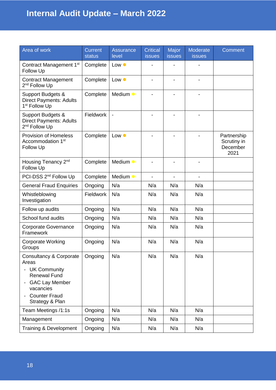| Area of work                                                                                                                                                                                                                | <b>Current</b><br><b>status</b> | Assurance<br>level | <b>Critical</b><br><b>issues</b> | Major<br><b>issues</b>   | <b>Moderate</b><br><b>issues</b> | <b>Comment</b>                                 |
|-----------------------------------------------------------------------------------------------------------------------------------------------------------------------------------------------------------------------------|---------------------------------|--------------------|----------------------------------|--------------------------|----------------------------------|------------------------------------------------|
| Contract Management 1 <sup>st</sup><br>Follow Up                                                                                                                                                                            | Complete                        | Low $\bullet$      |                                  |                          |                                  |                                                |
| <b>Contract Management</b><br>2 <sup>nd</sup> Follow Up                                                                                                                                                                     | Complete                        | Low $\bullet$      |                                  | $\overline{\phantom{0}}$ | $\overline{\phantom{0}}$         |                                                |
| Support Budgets &<br><b>Direct Payments: Adults</b><br>1 <sup>st</sup> Follow Up                                                                                                                                            | Complete                        | Medium •           |                                  |                          |                                  |                                                |
| Support Budgets &<br><b>Direct Payments: Adults</b><br>2 <sup>nd</sup> Follow Up                                                                                                                                            | Fieldwork                       |                    |                                  |                          |                                  |                                                |
| <b>Provision of Homeless</b><br>Accommodation 1 <sup>st</sup><br>Follow Up                                                                                                                                                  | Complete                        | Low $\bullet$      | $\blacksquare$                   | $\overline{\phantom{0}}$ | $\blacksquare$                   | Partnership<br>Scrutiny in<br>December<br>2021 |
| Housing Tenancy 2 <sup>nd</sup><br>Follow Up                                                                                                                                                                                | Complete                        | Medium •           |                                  |                          |                                  |                                                |
| PCI-DSS 2 <sup>nd</sup> Follow Up                                                                                                                                                                                           | Complete                        | Medium •           |                                  |                          |                                  |                                                |
| <b>General Fraud Enquiries</b>                                                                                                                                                                                              | Ongoing                         | N/a                | N/a                              | N/a                      | N/a                              |                                                |
| Whistleblowing<br>Investigation                                                                                                                                                                                             | Fieldwork                       | N/a                | N/a                              | N/a                      | N/a                              |                                                |
| Follow up audits                                                                                                                                                                                                            | Ongoing                         | N/a                | N/a                              | N/a                      | N/a                              |                                                |
| School fund audits                                                                                                                                                                                                          | Ongoing                         | N/a                | N/a                              | N/a                      | N/a                              |                                                |
| <b>Corporate Governance</b><br>Framework                                                                                                                                                                                    | Ongoing                         | N/a                | N/a                              | N/a                      | N/a                              |                                                |
| <b>Corporate Working</b><br>Groups                                                                                                                                                                                          | Ongoing                         | N/a                | N/a                              | N/a                      | N/a                              |                                                |
| Consultancy & Corporate<br>Areas<br><b>UK Community</b><br>$\qquad \qquad \blacksquare$<br><b>Renewal Fund</b><br><b>GAC Lay Member</b><br>$\overline{\phantom{0}}$<br>vacancies<br><b>Counter Fraud</b><br>Strategy & Plan | Ongoing                         | N/a                | N/a                              | N/a                      | N/a                              |                                                |
| Team Meetings /1:1s                                                                                                                                                                                                         | Ongoing                         | N/a                | N/a                              | N/a                      | N/a                              |                                                |
| Management                                                                                                                                                                                                                  | Ongoing                         | N/a                | N/a                              | N/a                      | N/a                              |                                                |
| Training & Development                                                                                                                                                                                                      | Ongoing                         | N/a                | N/a                              | N/a                      | N/a                              |                                                |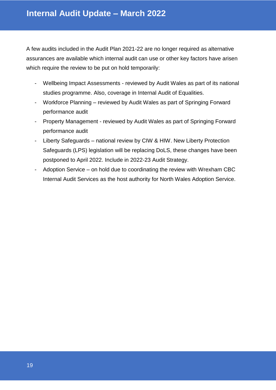A few audits included in the Audit Plan 2021-22 are no longer required as alternative assurances are available which internal audit can use or other key factors have arisen which require the review to be put on hold temporarily:

- Wellbeing Impact Assessments reviewed by Audit Wales as part of its national studies programme. Also, coverage in Internal Audit of Equalities.
- Workforce Planning reviewed by Audit Wales as part of Springing Forward performance audit
- Property Management reviewed by Audit Wales as part of Springing Forward performance audit
- Liberty Safeguards national review by CIW & HIW. New Liberty Protection Safeguards (LPS) legislation will be replacing DoLS, these changes have been postponed to April 2022. Include in 2022-23 Audit Strategy.
- Adoption Service on hold due to coordinating the review with Wrexham CBC Internal Audit Services as the host authority for North Wales Adoption Service.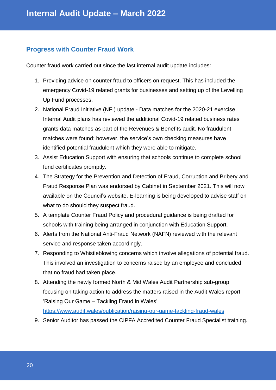#### <span id="page-19-0"></span>**Progress with Counter Fraud Work**

Counter fraud work carried out since the last internal audit update includes:

- 1. Providing advice on counter fraud to officers on request. This has included the emergency Covid-19 related grants for businesses and setting up of the Levelling Up Fund processes.
- 2. National Fraud Initiative (NFI) update Data matches for the 2020-21 exercise. Internal Audit plans has reviewed the additional Covid-19 related business rates grants data matches as part of the Revenues & Benefits audit. No fraudulent matches were found; however, the service's own checking measures have identified potential fraudulent which they were able to mitigate.
- 3. Assist Education Support with ensuring that schools continue to complete school fund certificates promptly.
- 4. The Strategy for the Prevention and Detection of Fraud, Corruption and Bribery and Fraud Response Plan was endorsed by Cabinet in September 2021. This will now available on the Council's website. E-learning is being developed to advise staff on what to do should they suspect fraud.
- 5. A template Counter Fraud Policy and procedural guidance is being drafted for schools with training being arranged in conjunction with Education Support.
- 6. Alerts from the National Anti-Fraud Network (NAFN) reviewed with the relevant service and response taken accordingly.
- 7. Responding to Whistleblowing concerns which involve allegations of potential fraud. This involved an investigation to concerns raised by an employee and concluded that no fraud had taken place.
- 8. Attending the newly formed North & Mid Wales Audit Partnership sub-group focusing on taking action to address the matters raised in the Audit Wales report 'Raising Our Game – Tackling Fraud in Wales' <https://www.audit.wales/publication/raising-our-game-tackling-fraud-wales>
- 9. Senior Auditor has passed the CIPFA Accredited Counter Fraud Specialist training.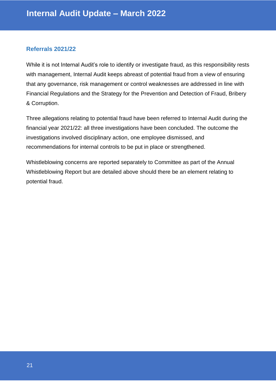#### <span id="page-20-0"></span>**Referrals 2021/22**

While it is not Internal Audit's role to identify or investigate fraud, as this responsibility rests with management, Internal Audit keeps abreast of potential fraud from a view of ensuring that any governance, risk management or control weaknesses are addressed in line with Financial Regulations and the Strategy for the Prevention and Detection of Fraud, Bribery & Corruption.

Three allegations relating to potential fraud have been referred to Internal Audit during the financial year 2021/22: all three investigations have been concluded. The outcome the investigations involved disciplinary action, one employee dismissed, and recommendations for internal controls to be put in place or strengthened.

Whistleblowing concerns are reported separately to Committee as part of the Annual Whistleblowing Report but are detailed above should there be an element relating to potential fraud.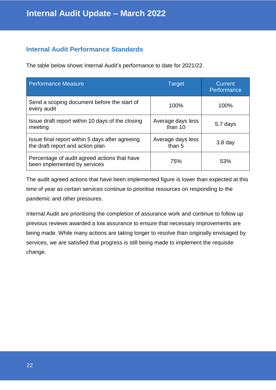#### <span id="page-21-0"></span>**Internal Audit Performance Standards**

The table below shows Internal Audit's performance to date for 2021/22.

| <b>Performance Measure</b>                                                          | Target                       | <b>Current</b><br>Performance |
|-------------------------------------------------------------------------------------|------------------------------|-------------------------------|
| Send a scoping document before the start of<br>every audit                          | 100%                         | 100%                          |
| Issue draft report within 10 days of the closing<br>meeting                         | Average days less<br>than 10 | 5.7 days                      |
| Issue final report within 5 days after agreeing<br>the draft report and action plan | Average days less<br>than 5  | $3.8$ day                     |
| Percentage of audit agreed actions that have<br>been implemented by services        | 75%                          | 53%                           |

The audit agreed actions that have been implemented figure is lower than expected at this time of year as certain services continue to prioritise resources on responding to the pandemic and other pressures.

Internal Audit are prioritising the completion of assurance work and continue to follow up previous reviews awarded a low assurance to ensure that necessary improvements are being made. While many actions are taking longer to resolve than originally envisaged by services, we are satisfied that progress is still being made to implement the requisite change.